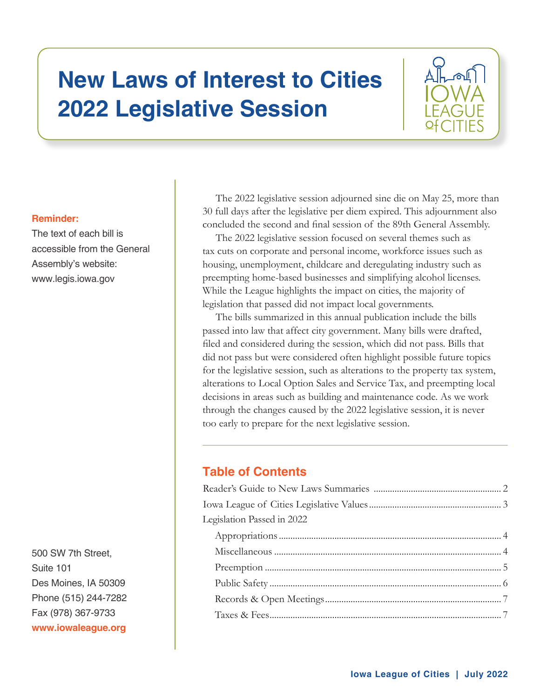# **New Laws of Interest to Cities 2022 Legislative Session**



# **Reminder:**

The text of each bill is accessible from the General Assembly's website: www.legis.iowa.gov

500 SW 7th Street. Suite 101 Des Moines, IA 50309 Phone (515) 244-7282 Fax (978) 367-9733 www.iowaleague.org

The 2022 legislative session adjourned sine die on May 25, more than 30 full days after the legislative per diem expired. This adjournment also concluded the second and final session of the 89th General Assembly.

The 2022 legislative session focused on several themes such as tax cuts on corporate and personal income, workforce issues such as housing, unemployment, childcare and deregulating industry such as preempting home-based businesses and simplifying alcohol licenses. While the League highlights the impact on cities, the majority of legislation that passed did not impact local governments.

The bills summarized in this annual publication include the bills passed into law that affect city government. Many bills were drafted, filed and considered during the session, which did not pass. Bills that did not pass but were considered often highlight possible future topics for the legislative session, such as alterations to the property tax system, alterations to Local Option Sales and Service Tax, and preempting local decisions in areas such as building and maintenance code. As we work through the changes caused by the 2022 legislative session, it is never too early to prepare for the next legislative session.

# **Table of Contents**

| Legislation Passed in 2022 |  |
|----------------------------|--|
|                            |  |
|                            |  |
|                            |  |
|                            |  |
|                            |  |
|                            |  |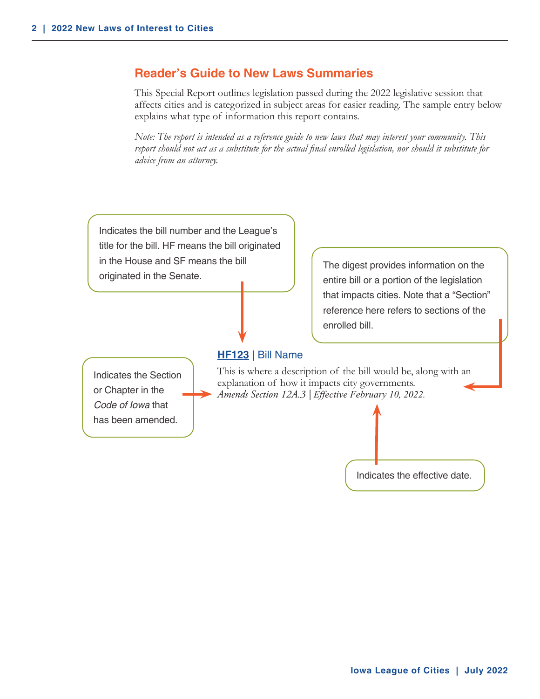# <span id="page-1-0"></span>**Reader's Guide to New Laws Summaries**

This Special Report outlines legislation passed during the 2022 legislative session that affects cities and is categorized in subject areas for easier reading. The sample entry below explains what type of information this report contains.

*Note: The report is intended as a reference guide to new laws that may interest your community. This report should not act as a substitute for the actual final enrolled legislation, nor should it substitute for advice from an attorney.*

Indicates the bill number and the League's title for the bill. HF means the bill originated in the House and SF means the bill originated in the Senate.

**HF123** | Bill Name

Indicates the Section or Chapter in the *Code of Iowa* that has been amended.

This is where a description of the bill would be, along with an explanation of how it impacts city governments. *Amends Section 12A.3 | Effective February 10, 2022.* 

enrolled bill.



The digest provides information on the entire bill or a portion of the legislation that impacts cities. Note that a "Section" reference here refers to sections of the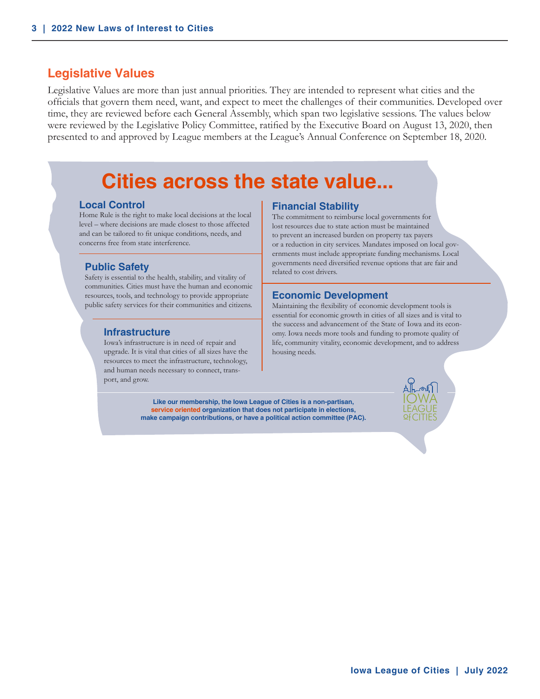# <span id="page-2-0"></span>**Legislative Values**

Legislative Values are more than just annual priorities. They are intended to represent what cities and the officials that govern them need, want, and expect to meet the challenges of their communities. Developed over time, they are reviewed before each General Assembly, which span two legislative sessions. The values below were reviewed by the Legislative Policy Committee, ratified by the Executive Board on August 13, 2020, then presented to and approved by League members at the League's Annual Conference on September 18, 2020.

# **Cities across the state value...**

#### **Local Control**

Home Rule is the right to make local decisions at the local level – where decisions are made closest to those affected and can be tailored to fit unique conditions, needs, and concerns free from state interference.

#### **Public Safety**

Safety is essential to the health, stability, and vitality of communities. Cities must have the human and economic resources, tools, and technology to provide appropriate public safety services for their communities and citizens.

#### **Infrastructure**

Iowa's infrastructure is in need of repair and upgrade. It is vital that cities of all sizes have the resources to meet the infrastructure, technology, and human needs necessary to connect, transport, and grow.

#### **Financial Stability**

The commitment to reimburse local governments for lost resources due to state action must be maintained to prevent an increased burden on property tax payers or a reduction in city services. Mandates imposed on local governments must include appropriate funding mechanisms. Local governments need diversified revenue options that are fair and related to cost drivers.

#### **Economic Development**

Maintaining the flexibility of economic development tools is essential for economic growth in cities of all sizes and is vital to the success and advancement of the State of Iowa and its economy. Iowa needs more tools and funding to promote quality of life, community vitality, economic development, and to address housing needs.

**Like our membership, the Iowa League of Cities is a non-partisan, service oriented organization that does not participate in elections, make campaign contributions, or have a political action committee (PAC).**



IOWA LEAGUE **of**CITIES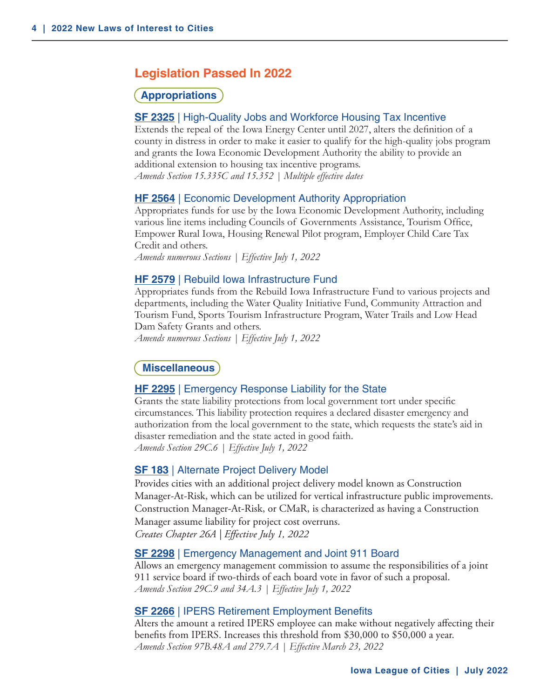# <span id="page-3-0"></span>**Legislation Passed In 2022**

## **Appropriations**

#### **SF 2325** | High-Quality Jobs and Workforce Housing Tax Incentive

Extends the repeal of the Iowa Energy Center until 2027, alters the definition of a county in distress in order to make it easier to qualify for the high-quality jobs program and grants the Iowa Economic Development Authority the ability to provide an additional extension to housing tax incentive programs. *Amends Section 15.335C and 15.352 | Multiple effective dates*

#### **HF 2564** | Economic Development Authority Appropriation

Appropriates funds for use by the Iowa Economic Development Authority, including various line items including Councils of Governments Assistance, Tourism Office, Empower Rural Iowa, Housing Renewal Pilot program, Employer Child Care Tax Credit and others.

*Amends numerous Sections | Effective July 1, 2022*

#### **HF 2579** | Rebuild Iowa Infrastructure Fund

Appropriates funds from the Rebuild Iowa Infrastructure Fund to various projects and departments, including the Water Quality Initiative Fund, Community Attraction and Tourism Fund, Sports Tourism Infrastructure Program, Water Trails and Low Head Dam Safety Grants and others.

*Amends numerous Sections | Effective July 1, 2022*

#### **Miscellaneous**

#### **HF 2295** | Emergency Response Liability for the State

Grants the state liability protections from local government tort under specific circumstances. This liability protection requires a declared disaster emergency and authorization from the local government to the state, which requests the state's aid in disaster remediation and the state acted in good faith. *Amends Section 29C.6 | Effective July 1, 2022*

#### **SF 183** | Alternate Project Delivery Model

Provides cities with an additional project delivery model known as Construction Manager-At-Risk, which can be utilized for vertical infrastructure public improvements. Construction Manager-At-Risk, or CMaR, is characterized as having a Construction Manager assume liability for project cost overruns. *Creates Chapter 26A | Effective July 1, 2022*

#### **SF 2298** | Emergency Management and Joint 911 Board

Allows an emergency management commission to assume the responsibilities of a joint 911 service board if two-thirds of each board vote in favor of such a proposal. *Amends Section 29C.9 and 34A.3 | Effective July 1, 2022*

#### **SF 2266** | IPERS Retirement Employment Benefits

Alters the amount a retired IPERS employee can make without negatively affecting their benefits from IPERS. Increases this threshold from \$30,000 to \$50,000 a year. *Amends Section 97B.48A and 279.7A | Effective March 23, 2022*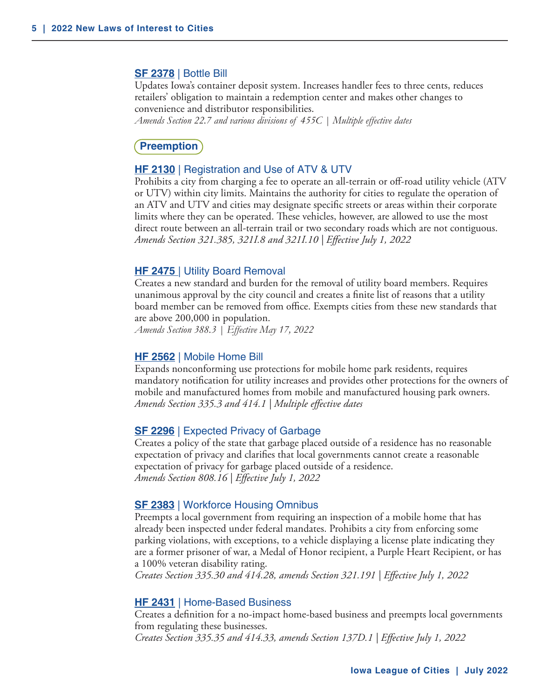#### <span id="page-4-0"></span>**SF 2378** | Bottle Bill

Updates Iowa's container deposit system. Increases handler fees to three cents, reduces retailers' obligation to maintain a redemption center and makes other changes to convenience and distributor responsibilities.

*Amends Section 22.7 and various divisions of 455C | Multiple effective dates* 

# **Preemption**

#### **HF 2130** | Registration and Use of ATV & UTV

Prohibits a city from charging a fee to operate an all-terrain or off-road utility vehicle (ATV or UTV) within city limits. Maintains the authority for cities to regulate the operation of an ATV and UTV and cities may designate specific streets or areas within their corporate limits where they can be operated. These vehicles, however, are allowed to use the most direct route between an all-terrain trail or two secondary roads which are not contiguous. *Amends Section 321.385, 321I.8 and 321I.10 | Effective July 1, 2022*

#### **HF 2475** | Utility Board Removal

Creates a new standard and burden for the removal of utility board members. Requires unanimous approval by the city council and creates a finite list of reasons that a utility board member can be removed from office. Exempts cities from these new standards that are above 200,000 in population.

*Amends Section 388.3 | Effective May 17, 2022*

#### **HF 2562** | Mobile Home Bill

Expands nonconforming use protections for mobile home park residents, requires mandatory notification for utility increases and provides other protections for the owners of mobile and manufactured homes from mobile and manufactured housing park owners. *Amends Section 335.3 and 414.1 | Multiple effective dates*

#### **SF 2296** | Expected Privacy of Garbage

Creates a policy of the state that garbage placed outside of a residence has no reasonable expectation of privacy and clarifies that local governments cannot create a reasonable expectation of privacy for garbage placed outside of a residence. *Amends Section 808.16 | Effective July 1, 2022*

#### **SF 2383** | Workforce Housing Omnibus

Preempts a local government from requiring an inspection of a mobile home that has already been inspected under federal mandates. Prohibits a city from enforcing some parking violations, with exceptions, to a vehicle displaying a license plate indicating they are a former prisoner of war, a Medal of Honor recipient, a Purple Heart Recipient, or has a 100% veteran disability rating.

*Creates Section 335.30 and 414.28, amends Section 321.191 | Effective July 1, 2022*

#### **HF 2431** | Home-Based Business

Creates a definition for a no-impact home-based business and preempts local governments from regulating these businesses.

*Creates Section 335.35 and 414.33, amends Section 137D.1 | Effective July 1, 2022*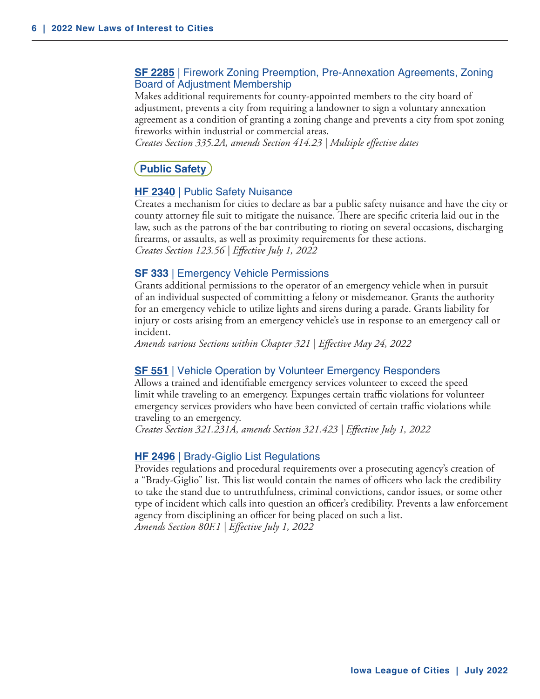# <span id="page-5-0"></span>**SF 2285** | Firework Zoning Preemption, Pre-Annexation Agreements, Zoning Board of Adjustment Membership

Makes additional requirements for county-appointed members to the city board of adjustment, prevents a city from requiring a landowner to sign a voluntary annexation agreement as a condition of granting a zoning change and prevents a city from spot zoning fireworks within industrial or commercial areas.

*Creates Section 335.2A, amends Section 414.23 | Multiple effective dates*

# **Public Safety**

#### **HF 2340** | Public Safety Nuisance

Creates a mechanism for cities to declare as bar a public safety nuisance and have the city or county attorney file suit to mitigate the nuisance. There are specific criteria laid out in the law, such as the patrons of the bar contributing to rioting on several occasions, discharging firearms, or assaults, as well as proximity requirements for these actions. *Creates Section 123.56 | Effective July 1, 2022*

#### **SF 333** | Emergency Vehicle Permissions

Grants additional permissions to the operator of an emergency vehicle when in pursuit of an individual suspected of committing a felony or misdemeanor. Grants the authority for an emergency vehicle to utilize lights and sirens during a parade. Grants liability for injury or costs arising from an emergency vehicle's use in response to an emergency call or incident.

*Amends various Sections within Chapter 321 | Effective May 24, 2022*

#### **SF 551** | Vehicle Operation by Volunteer Emergency Responders

Allows a trained and identifiable emergency services volunteer to exceed the speed limit while traveling to an emergency. Expunges certain traffic violations for volunteer emergency services providers who have been convicted of certain traffic violations while traveling to an emergency.

*Creates Section 321.231A, amends Section 321.423 | Effective July 1, 2022*

#### **HF 2496** | Brady-Giglio List Regulations

Provides regulations and procedural requirements over a prosecuting agency's creation of a "Brady-Giglio" list. This list would contain the names of officers who lack the credibility to take the stand due to untruthfulness, criminal convictions, candor issues, or some other type of incident which calls into question an officer's credibility. Prevents a law enforcement agency from disciplining an officer for being placed on such a list. *Amends Section 80F.1 | Effective July 1, 2022*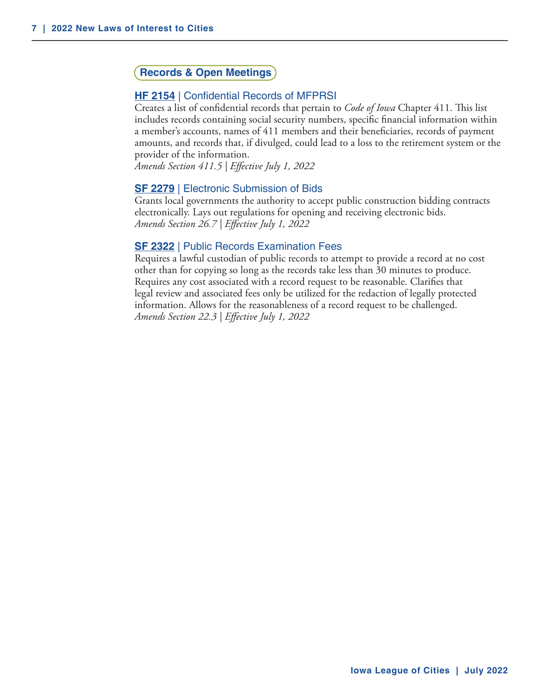# <span id="page-6-0"></span>**Records & Open Meetings**

#### **HF 2154** | Confidential Records of MFPRSI

Creates a list of confidential records that pertain to *Code of Iowa* Chapter 411. This list includes records containing social security numbers, specific financial information within a member's accounts, names of 411 members and their beneficiaries, records of payment amounts, and records that, if divulged, could lead to a loss to the retirement system or the provider of the information.

*Amends Section 411.5 | Effective July 1, 2022*

#### **SF 2279** | Electronic Submission of Bids

Grants local governments the authority to accept public construction bidding contracts electronically. Lays out regulations for opening and receiving electronic bids. *Amends Section 26.7 | Effective July 1, 2022*

#### **SF 2322** | Public Records Examination Fees

Requires a lawful custodian of public records to attempt to provide a record at no cost other than for copying so long as the records take less than 30 minutes to produce. Requires any cost associated with a record request to be reasonable. Clarifies that legal review and associated fees only be utilized for the redaction of legally protected information. Allows for the reasonableness of a record request to be challenged. *Amends Section 22.3 | Effective July 1, 2022*